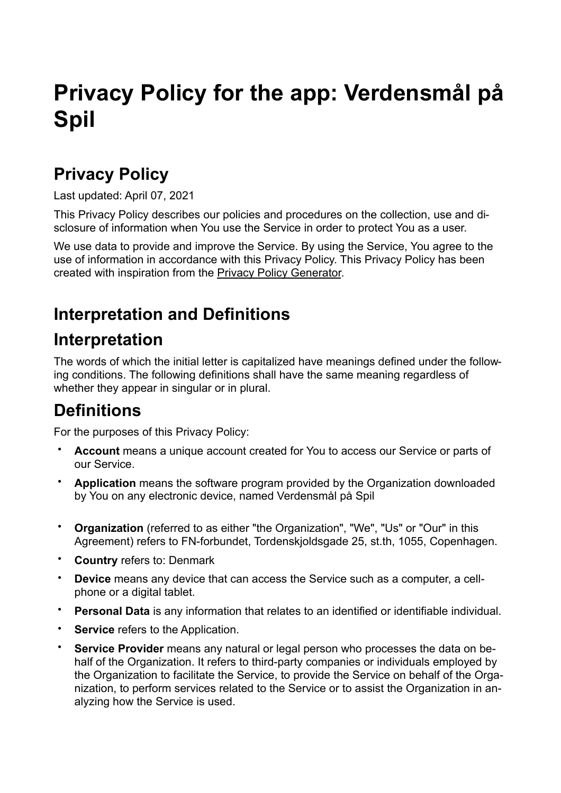# **Privacy Policy for the app: Verdensmål på Spil**

### **Privacy Policy**

Last updated: April 07, 2021

This Privacy Policy describes our policies and procedures on the collection, use and disclosure of information when You use the Service in order to protect You as a user.

We use data to provide and improve the Service. By using the Service, You agree to the use of information in accordance with this Privacy Policy. This Privacy Policy has been created with inspiration from the [Privacy Policy Generator.](https://www.freeprivacypolicy.com/free-privacy-policy-generator/)

## **Interpretation and Definitions**

### **Interpretation**

The words of which the initial letter is capitalized have meanings defined under the following conditions. The following definitions shall have the same meaning regardless of whether they appear in singular or in plural.

### **Definitions**

For the purposes of this Privacy Policy:

- **Account** means a unique account created for You to access our Service or parts of our Service.
- **Application** means the software program provided by the Organization downloaded by You on any electronic device, named Verdensmål på Spil
- **Organization** (referred to as either "the Organization", "We", "Us" or "Our" in this Agreement) refers to FN-forbundet, Tordenskjoldsgade 25, st.th, 1055, Copenhagen.
- **Country** refers to: Denmark
- **Device** means any device that can access the Service such as a computer, a cellphone or a digital tablet.
- **Personal Data** is any information that relates to an identified or identifiable individual.
- **Service** refers to the Application.
- **Service Provider** means any natural or legal person who processes the data on behalf of the Organization. It refers to third-party companies or individuals employed by the Organization to facilitate the Service, to provide the Service on behalf of the Organization, to perform services related to the Service or to assist the Organization in analyzing how the Service is used.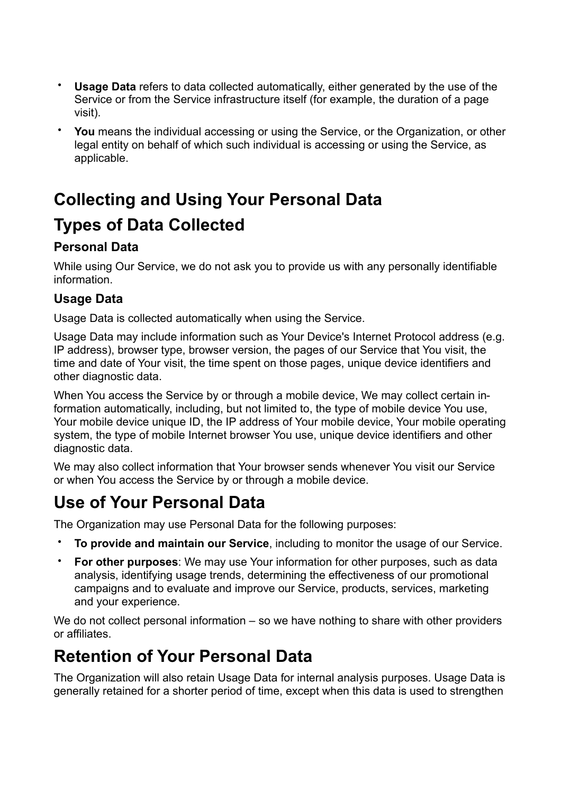- **Usage Data** refers to data collected automatically, either generated by the use of the Service or from the Service infrastructure itself (for example, the duration of a page visit).
- **You** means the individual accessing or using the Service, or the Organization, or other legal entity on behalf of which such individual is accessing or using the Service, as applicable.

# **Collecting and Using Your Personal Data Types of Data Collected**

#### **Personal Data**

While using Our Service, we do not ask you to provide us with any personally identifiable information.

#### **Usage Data**

Usage Data is collected automatically when using the Service.

Usage Data may include information such as Your Device's Internet Protocol address (e.g. IP address), browser type, browser version, the pages of our Service that You visit, the time and date of Your visit, the time spent on those pages, unique device identifiers and other diagnostic data.

When You access the Service by or through a mobile device, We may collect certain information automatically, including, but not limited to, the type of mobile device You use, Your mobile device unique ID, the IP address of Your mobile device, Your mobile operating system, the type of mobile Internet browser You use, unique device identifiers and other diagnostic data.

We may also collect information that Your browser sends whenever You visit our Service or when You access the Service by or through a mobile device.

### **Use of Your Personal Data**

The Organization may use Personal Data for the following purposes:

- **To provide and maintain our Service**, including to monitor the usage of our Service.
- **For other purposes**: We may use Your information for other purposes, such as data analysis, identifying usage trends, determining the effectiveness of our promotional campaigns and to evaluate and improve our Service, products, services, marketing and your experience.

We do not collect personal information – so we have nothing to share with other providers or affiliates.

### **Retention of Your Personal Data**

The Organization will also retain Usage Data for internal analysis purposes. Usage Data is generally retained for a shorter period of time, except when this data is used to strengthen